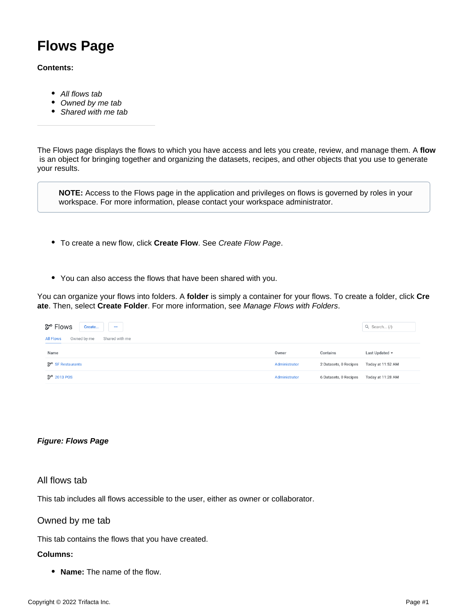# **Flows Page**

## **Contents:**

- [All flows tab](#page-0-0)
- [Owned by me tab](#page-0-1)
- [Shared with me tab](#page-1-0)

The Flows page displays the flows to which you have access and lets you create, review, and manage them. A **flow** is an object for bringing together and organizing the datasets, recipes, and other objects that you use to generate your results.

**NOTE:** Access to the Flows page in the application and privileges on flows is governed by roles in your workspace. For more information, please contact your workspace administrator.

- To create a new flow, click **Create Flow**. See [Create Flow Page](https://docs.trifacta.com/display/r076/Create+Flow+Page).
- You can also access the flows that have been shared with you.

You can organize your flows into folders. A **folder** is simply a container for your flows. To create a folder, click **Cre ate**. Then, select **Create Folder**. For more information, see [Manage Flows with Folders](https://docs.trifacta.com/display/r076/Manage+Flows+with+Folders).

| ව් <sup>o</sup> Flows<br>Create<br>$\cdots$       |               |                       | Q Search (/)      |
|---------------------------------------------------|---------------|-----------------------|-------------------|
| Owned by me<br><b>All Flows</b><br>Shared with me |               |                       |                   |
| Name                                              | Owner         | Contains              | Last Updated -    |
| <b>B<sub>T</sub></b> SF Restaurants               | Administrator | 2 Datasets, 0 Recipes | Today at 11:52 AM |
| <b>Br</b> 2013 POS                                | Administrator | 6 Datasets, 0 Recipes | Today at 11:28 AM |

### **Figure: Flows Page**

# <span id="page-0-0"></span>All flows tab

This tab includes all flows accessible to the user, either as owner or collaborator.

## <span id="page-0-1"></span>Owned by me tab

This tab contains the flows that you have created.

### **Columns:**

**Name:** The name of the flow.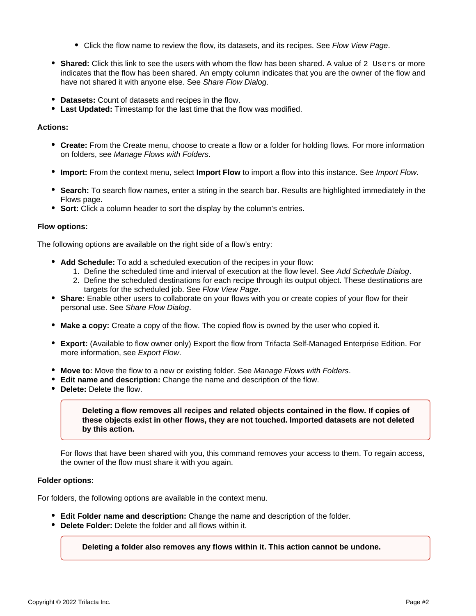- Click the flow name to review the flow, its datasets, and its recipes. See [Flow View Page](https://docs.trifacta.com/display/r076/Flow+View+Page).
- **Shared:** Click this link to see the users with whom the flow has been shared. A value of 2 Users or more indicates that the flow has been shared. An empty column indicates that you are the owner of the flow and have not shared it with anyone else. See [Share Flow Dialog](https://docs.trifacta.com/display/r076/Share+Flow+Dialog).
- **Datasets:** Count of datasets and recipes in the flow.
- **Last Updated:** Timestamp for the last time that the flow was modified.

#### **Actions:**

- **Create:** From the Create menu, choose to create a flow or a folder for holding flows. For more information on folders, see [Manage Flows with Folders](https://docs.trifacta.com/display/r076/Manage+Flows+with+Folders).
- **Import:** From the context menu, select **Import Flow** to import a flow into this instance. See [Import Flow](https://docs.trifacta.com/display/r076/Import+Flow).
- **Search:** To search flow names, enter a string in the search bar. Results are highlighted immediately in the Flows page.
- **Sort:** Click a column header to sort the display by the column's entries.

#### **Flow options:**

The following options are available on the right side of a flow's entry:

- **Add Schedule:** To add a scheduled execution of the recipes in your flow:
	- 1. Define the scheduled time and interval of execution at the flow level. See [Add Schedule Dialog](https://docs.trifacta.com/display/r076/Add+Schedule+Dialog).
	- 2. Define the scheduled destinations for each recipe through its output object. These destinations are targets for the scheduled job. See [Flow View Page](https://docs.trifacta.com/display/r076/Flow+View+Page).
- **Share:** Enable other users to collaborate on your flows with you or create copies of your flow for their personal use. See [Share Flow Dialog](https://docs.trifacta.com/display/r076/Share+Flow+Dialog).
- **Make a copy:** Create a copy of the flow. The copied flow is owned by the user who copied it.
- **Export:** (Available to flow owner only) Export the flow from Trifacta Self-Managed Enterprise Edition. For more information, see [Export Flow](https://docs.trifacta.com/display/r076/Export+Flow).
- **Move to:** Move the flow to a new or existing folder. See [Manage Flows with Folders](https://docs.trifacta.com/display/r076/Manage+Flows+with+Folders).
- **Edit name and description:** Change the name and description of the flow.
- **Delete:** Delete the flow.

**Deleting a flow removes all recipes and related objects contained in the flow. If copies of these objects exist in other flows, they are not touched. Imported datasets are not deleted by this action.**

For flows that have been shared with you, this command removes your access to them. To regain access, the owner of the flow must share it with you again.

#### **Folder options:**

For folders, the following options are available in the context menu.

- **Edit Folder name and description:** Change the name and description of the folder.
- <span id="page-1-0"></span>**Delete Folder:** Delete the folder and all flows within it.

**Deleting a folder also removes any flows within it. This action cannot be undone.**